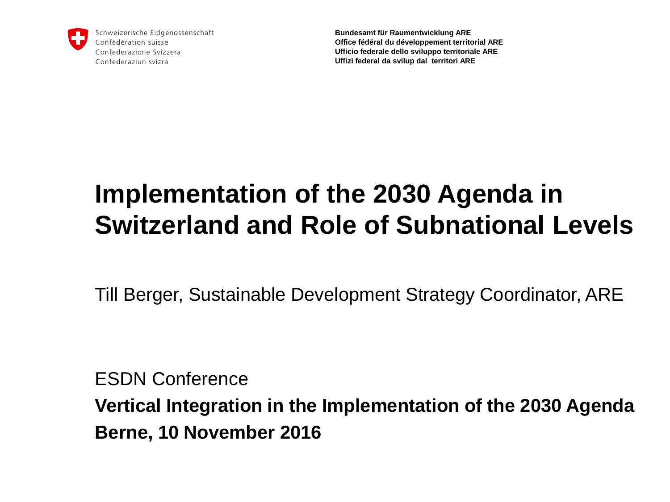

Schweizerische Eidgenossenschaft Confédération suisse Confederazione Svizzera Confederaziun svizra

**Bundesamt für Raumentwicklung ARE Office fédéral du développement territorial ARE Ufficio federale dello sviluppo territoriale ARE Uffizi federal da svilup dal territori ARE**

# **Implementation of the 2030 Agenda in Switzerland and Role of Subnational Levels**

Till Berger, Sustainable Development Strategy Coordinator, ARE

ESDN Conference

**Vertical Integration in the Implementation of the 2030 Agenda Berne, 10 November 2016**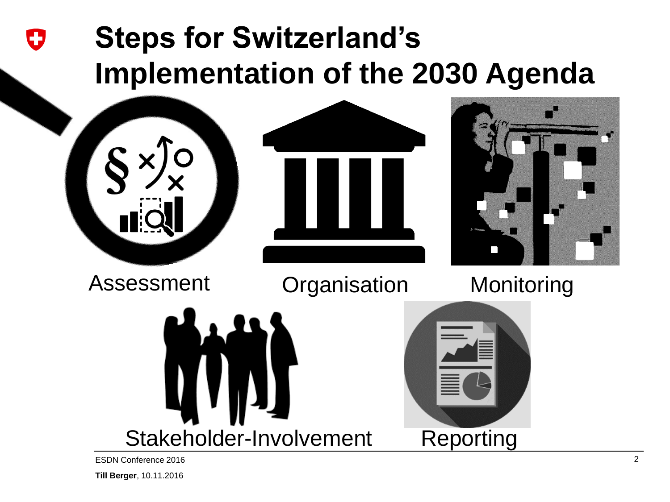## **Steps for Switzerland's**  IJ **Implementation of the 2030 Agenda**



Stakeholder-Involvement

**Reporting** 

ESDN Conference 2016 2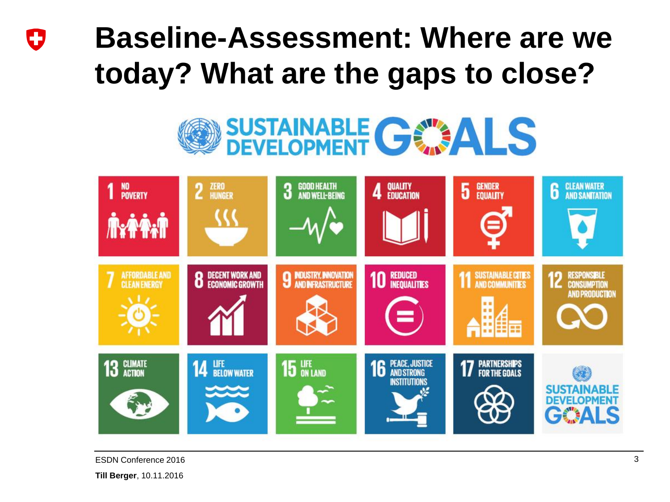### **Baseline-Assessment: Where are we**  0 **today? What are the gaps to close?**

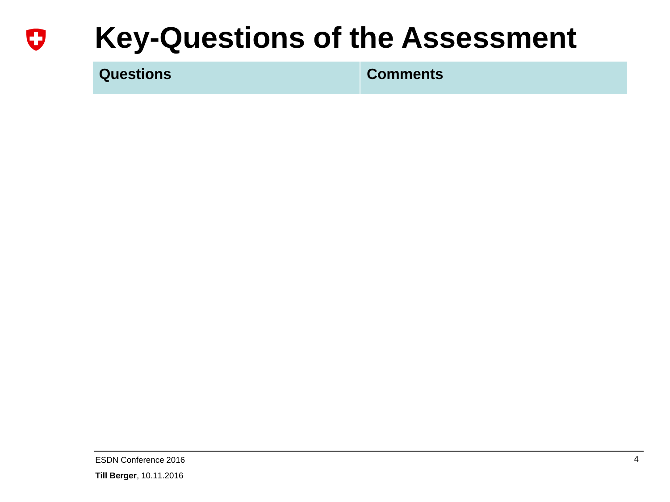#### **Key-Questions of the Assessment** U

**Questions Comments**

ESDN Conference 2016 4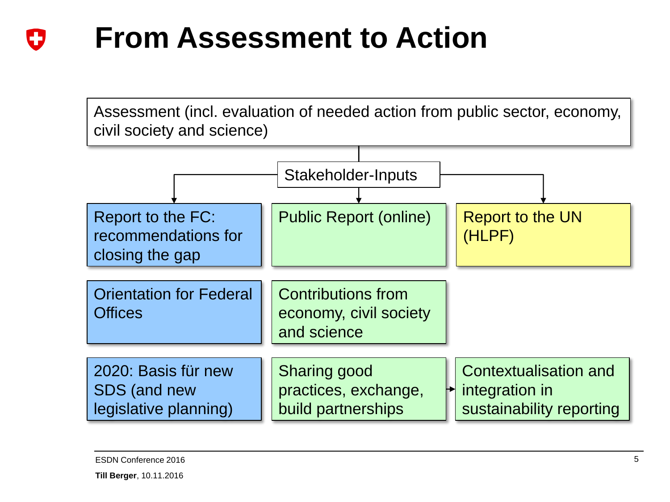#### **From Assessment to Action** IJ

Assessment (incl. evaluation of needed action from public sector, economy, civil society and science) Report to the FC: **Public Report (online)** recommendations for closing the gap Report to the UN (HLPF) Stakeholder-Inputs 2020: Basis für new SDS (and new legislative planning) Orientation for Federal **Offices** Contributions from economy, civil society and science Sharing good practices, exchange, build partnerships Contextualisation and integration in sustainability reporting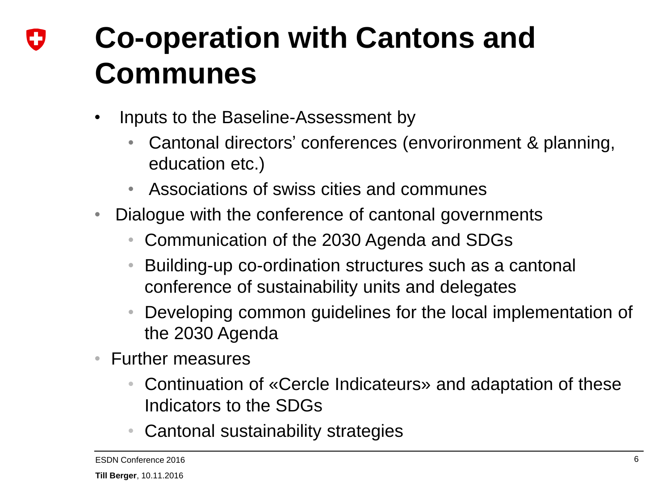## **Co-operation with Cantons and**  IJ **Communes**

- Inputs to the Baseline-Assessment by
	- Cantonal directors' conferences (envorironment & planning, education etc.)
	- Associations of swiss cities and communes
- Dialogue with the conference of cantonal governments
	- Communication of the 2030 Agenda and SDGs
	- Building-up co-ordination structures such as a cantonal conference of sustainability units and delegates
	- Developing common guidelines for the local implementation of the 2030 Agenda
- Further measures
	- Continuation of «Cercle Indicateurs» and adaptation of these Indicators to the SDGs
	- Cantonal sustainability strategies